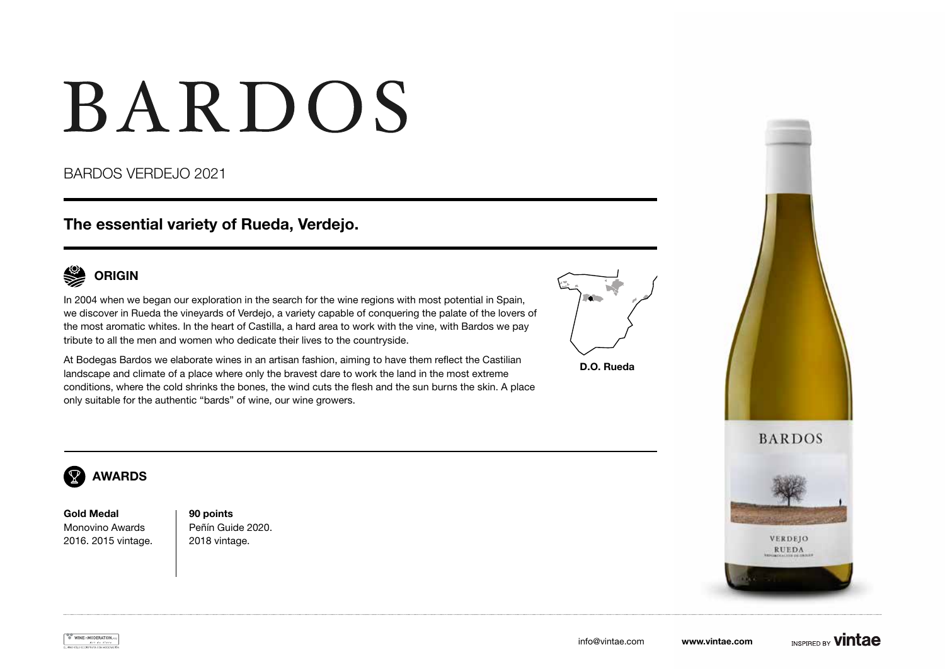# BARDOS

### BARDOS VERDEJO 2021

## The essential variety of Rueda, Verdejo.



In 2004 when we began our exploration in the search for the wine regions with most potential in Spain, we discover in Rueda the vineyards of Verdejo, a variety capable of conquering the palate of the lovers of the most aromatic whites. In the heart of Castilla, a hard area to work with the vine, with Bardos we pay tribute to all the men and women who dedicate their lives to the countryside.



D.O. Rueda

At Bodegas Bardos we elaborate wines in an artisan fashion, aiming to have them reflect the Castilian landscape and climate of a place where only the bravest dare to work the land in the most extreme conditions, where the cold shrinks the bones, the wind cuts the flesh and the sun burns the skin. A place only suitable for the authentic "bards" of wine, our wine growers.





VERDEJO



#### $\overline{\mathcal{R}}$ AWARDS

Gold Medal Monovino Awards 2016. 2015 vintage. 90 points Peñín Guide 2020. 2018 vintage.